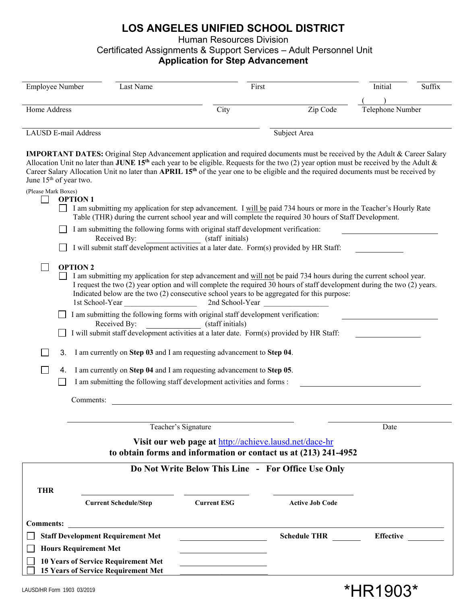## **LOS ANGELES UNIFIED SCHOOL DISTRICT**

Human Resources Division

Certificated Assignments & Support Services – Adult Personnel Unit

## **Application for Step Advancement**

| <b>Employee Number</b>                                                                                                                                                                                                                                                                                                                                                                                                                                                             | Last Name                    | First              |                        | Suffix<br>Initial |
|------------------------------------------------------------------------------------------------------------------------------------------------------------------------------------------------------------------------------------------------------------------------------------------------------------------------------------------------------------------------------------------------------------------------------------------------------------------------------------|------------------------------|--------------------|------------------------|-------------------|
|                                                                                                                                                                                                                                                                                                                                                                                                                                                                                    |                              |                    |                        |                   |
| Home Address                                                                                                                                                                                                                                                                                                                                                                                                                                                                       |                              | City               | Zip Code               | Telephone Number  |
| <b>LAUSD E-mail Address</b>                                                                                                                                                                                                                                                                                                                                                                                                                                                        |                              |                    |                        |                   |
| Subject Area                                                                                                                                                                                                                                                                                                                                                                                                                                                                       |                              |                    |                        |                   |
| <b>IMPORTANT DATES:</b> Original Step Advancement application and required documents must be received by the Adult & Career Salary<br>Allocation Unit no later than JUNE 15 <sup>th</sup> each year to be eligible. Requests for the two (2) year option must be received by the Adult &<br>Career Salary Allocation Unit no later than APRIL 15 <sup>th</sup> of the year one to be eligible and the required documents must be received by<br>June 15 <sup>th</sup> of year two. |                              |                    |                        |                   |
| (Please Mark Boxes)                                                                                                                                                                                                                                                                                                                                                                                                                                                                |                              |                    |                        |                   |
| <b>OPTION 1</b><br>I am submitting my application for step advancement. I will be paid 734 hours or more in the Teacher's Hourly Rate<br>Table (THR) during the current school year and will complete the required 30 hours of Staff Development.                                                                                                                                                                                                                                  |                              |                    |                        |                   |
| I am submitting the following forms with original staff development verification:                                                                                                                                                                                                                                                                                                                                                                                                  |                              |                    |                        |                   |
| Received By:<br>(staff initials)<br>I will submit staff development activities at a later date. Form(s) provided by HR Staff:                                                                                                                                                                                                                                                                                                                                                      |                              |                    |                        |                   |
|                                                                                                                                                                                                                                                                                                                                                                                                                                                                                    |                              |                    |                        |                   |
| <b>OPTION 2</b><br>I am submitting my application for step advancement and will not be paid 734 hours during the current school year.<br>I request the two (2) year option and will complete the required 30 hours of staff development during the two (2) years.<br>Indicated below are the two (2) consecutive school years to be aggregated for this purpose:<br>2nd School-Year<br>1st School-Year                                                                             |                              |                    |                        |                   |
| I am submitting the following forms with original staff development verification:                                                                                                                                                                                                                                                                                                                                                                                                  |                              |                    |                        |                   |
| Received By:<br>(staff initials)<br>I will submit staff development activities at a later date. Form(s) provided by HR Staff:                                                                                                                                                                                                                                                                                                                                                      |                              |                    |                        |                   |
| 3.<br>I am currently on Step 03 and I am requesting advancement to Step 04.                                                                                                                                                                                                                                                                                                                                                                                                        |                              |                    |                        |                   |
| I am currently on Step 04 and I am requesting advancement to Step 05.<br>4.                                                                                                                                                                                                                                                                                                                                                                                                        |                              |                    |                        |                   |
| I am submitting the following staff development activities and forms :                                                                                                                                                                                                                                                                                                                                                                                                             |                              |                    |                        |                   |
| Comments:                                                                                                                                                                                                                                                                                                                                                                                                                                                                          |                              |                    |                        |                   |
|                                                                                                                                                                                                                                                                                                                                                                                                                                                                                    |                              |                    |                        |                   |
| Teacher's Signature<br>Date                                                                                                                                                                                                                                                                                                                                                                                                                                                        |                              |                    |                        |                   |
| Visit our web page at http://achieve.lausd.net/dace-hr<br>to obtain forms and information or contact us at (213) 241-4952                                                                                                                                                                                                                                                                                                                                                          |                              |                    |                        |                   |
| Do Not Write Below This Line - For Office Use Only                                                                                                                                                                                                                                                                                                                                                                                                                                 |                              |                    |                        |                   |
|                                                                                                                                                                                                                                                                                                                                                                                                                                                                                    |                              |                    |                        |                   |
| <b>THR</b>                                                                                                                                                                                                                                                                                                                                                                                                                                                                         | <b>Current Schedule/Step</b> | <b>Current ESG</b> | <b>Active Job Code</b> |                   |
|                                                                                                                                                                                                                                                                                                                                                                                                                                                                                    |                              |                    |                        |                   |
| <b>Comments:</b>                                                                                                                                                                                                                                                                                                                                                                                                                                                                   |                              |                    |                        |                   |
| <b>Staff Development Requirement Met</b><br><b>Effective</b><br><b>Schedule THR</b>                                                                                                                                                                                                                                                                                                                                                                                                |                              |                    |                        |                   |
| <b>Hours Requirement Met</b>                                                                                                                                                                                                                                                                                                                                                                                                                                                       |                              |                    |                        |                   |
| <b>10 Years of Service Requirement Met</b><br>15 Years of Service Requirement Met                                                                                                                                                                                                                                                                                                                                                                                                  |                              |                    |                        |                   |

\*HR1903\*

LAUSD/HR Form 1903 03/2019